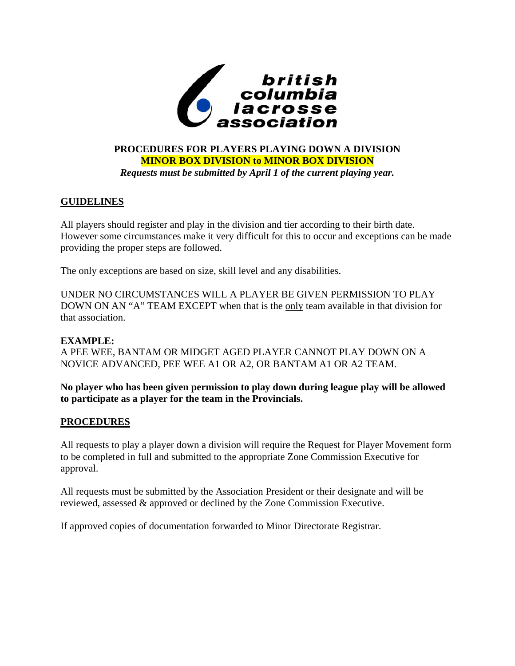

# **PROCEDURES FOR PLAYERS PLAYING DOWN A DIVISION MINOR BOX DIVISION to MINOR BOX DIVISION**  *Requests must be submitted by April 1 of the current playing year.*

# **GUIDELINES**

All players should register and play in the division and tier according to their birth date. However some circumstances make it very difficult for this to occur and exceptions can be made providing the proper steps are followed.

The only exceptions are based on size, skill level and any disabilities.

UNDER NO CIRCUMSTANCES WILL A PLAYER BE GIVEN PERMISSION TO PLAY DOWN ON AN "A" TEAM EXCEPT when that is the only team available in that division for that association.

# **EXAMPLE:**

A PEE WEE, BANTAM OR MIDGET AGED PLAYER CANNOT PLAY DOWN ON A NOVICE ADVANCED, PEE WEE A1 OR A2, OR BANTAM A1 OR A2 TEAM.

**No player who has been given permission to play down during league play will be allowed to participate as a player for the team in the Provincials.** 

# **PROCEDURES**

All requests to play a player down a division will require the Request for Player Movement form to be completed in full and submitted to the appropriate Zone Commission Executive for approval.

All requests must be submitted by the Association President or their designate and will be reviewed, assessed & approved or declined by the Zone Commission Executive.

If approved copies of documentation forwarded to Minor Directorate Registrar.